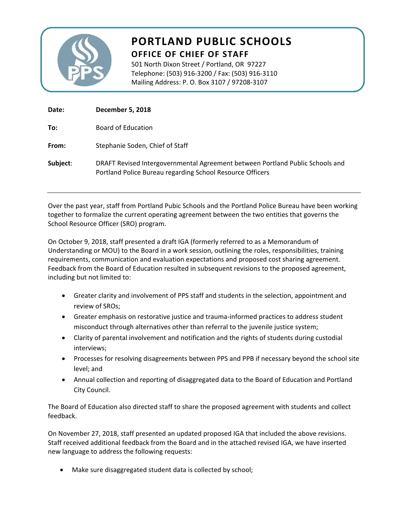

# **PORTLAND PUBLIC SCHOOLS OFFICE OF CHIEF OF STAFF**

501 North Dixon Street / Portland, OR 97227 Telephone: (503) 916‐3200 / Fax: (503) 916‐3110 Mailing Address: P. O. Box 3107 / 97208‐3107

| Date:    | <b>December 5, 2018</b>                                                                                                                    |
|----------|--------------------------------------------------------------------------------------------------------------------------------------------|
| To:      | Board of Education                                                                                                                         |
| From:    | Stephanie Soden, Chief of Staff                                                                                                            |
| Subject: | DRAFT Revised Intergovernmental Agreement between Portland Public Schools and<br>Portland Police Bureau regarding School Resource Officers |

Over the past year, staff from Portland Pubic Schools and the Portland Police Bureau have been working together to formalize the current operating agreement between the two entities that governs the School Resource Officer (SRO) program.

On October 9, 2018, staff presented a draft IGA (formerly referred to as a Memorandum of Understanding or MOU) to the Board in a work session, outlining the roles, responsibilities, training requirements, communication and evaluation expectations and proposed cost sharing agreement. Feedback from the Board of Education resulted in subsequent revisions to the proposed agreement, including but not limited to:

- Greater clarity and involvement of PPS staff and students in the selection, appointment and review of SROs;
- Greater emphasis on restorative justice and trauma‐informed practices to address student misconduct through alternatives other than referral to the juvenile justice system;
- Clarity of parental involvement and notification and the rights of students during custodial interviews;
- Processes for resolving disagreements between PPS and PPB if necessary beyond the school site level; and
- Annual collection and reporting of disaggregated data to the Board of Education and Portland City Council.

The Board of Education also directed staff to share the proposed agreement with students and collect feedback.

On November 27, 2018, staff presented an updated proposed IGA that included the above revisions. Staff received additional feedback from the Board and in the attached revised IGA, we have inserted new language to address the following requests:

Make sure disaggregated student data is collected by school;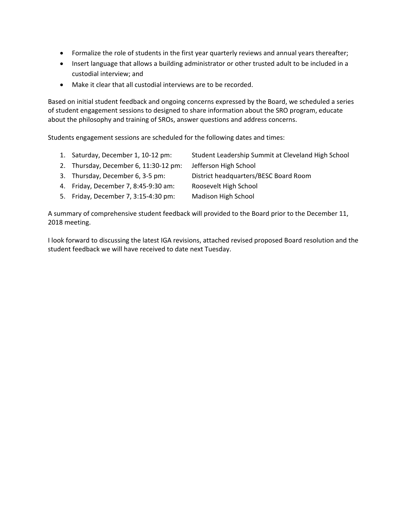- Formalize the role of students in the first year quarterly reviews and annual years thereafter;
- Insert language that allows a building administrator or other trusted adult to be included in a custodial interview; and
- Make it clear that all custodial interviews are to be recorded.

Based on initial student feedback and ongoing concerns expressed by the Board, we scheduled a series of student engagement sessions to designed to share information about the SRO program, educate about the philosophy and training of SROs, answer questions and address concerns.

Students engagement sessions are scheduled for the following dates and times:

- 1. Saturday, December 1, 10‐12 pm: Student Leadership Summit at Cleveland High School
- 2. Thursday, December 6, 11:30-12 pm: Jefferson High School
- 3. Thursday, December 6, 3‐5 pm: District headquarters/BESC Board Room
- 4. Friday, December 7, 8:45‐9:30 am: Roosevelt High School
- 5. Friday, December 7, 3:15‐4:30 pm: Madison High School

A summary of comprehensive student feedback will provided to the Board prior to the December 11, 2018 meeting.

I look forward to discussing the latest IGA revisions, attached revised proposed Board resolution and the student feedback we will have received to date next Tuesday.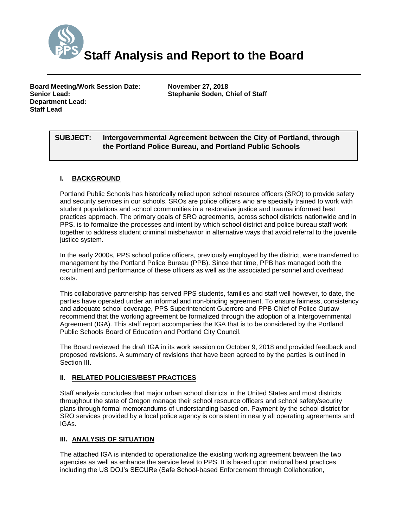

**Board Meeting/Work Session Date: November 27, 2018 Senior Lead: Stephanie Soden, Chief of Staff Department Lead: Staff Lead**

# *(Use this section to briefly explain the item—2-3 sentences)* **SUBJECT: Intergovernmental Agreement between the City of Portland, through the Portland Police Bureau, and Portland Public Schools**

## **I. BACKGROUND**

Portland Public Schools has historically relied upon school resource officers (SRO) to provide safety and security services in our schools. SROs are police officers who are specially trained to work with student populations and school communities in a restorative justice and trauma informed best practices approach. The primary goals of SRO agreements, across school districts nationwide and in PPS, is to formalize the processes and intent by which school district and police bureau staff work together to address student criminal misbehavior in alternative ways that avoid referral to the juvenile justice system.

In the early 2000s, PPS school police officers, previously employed by the district, were transferred to management by the Portland Police Bureau (PPB). Since that time, PPB has managed both the recruitment and performance of these officers as well as the associated personnel and overhead costs.

This collaborative partnership has served PPS students, families and staff well however, to date, the parties have operated under an informal and non-binding agreement. To ensure fairness, consistency and adequate school coverage, PPS Superintendent Guerrero and PPB Chief of Police Outlaw recommend that the working agreement be formalized through the adoption of a Intergovernmental Agreement (IGA). This staff report accompanies the IGA that is to be considered by the Portland Public Schools Board of Education and Portland City Council.

The Board reviewed the draft IGA in its work session on October 9, 2018 and provided feedback and proposed revisions. A summary of revisions that have been agreed to by the parties is outlined in Section III.

## **II. RELATED POLICIES/BEST PRACTICES**

Staff analysis concludes that major urban school districts in the United States and most districts throughout the state of Oregon manage their school resource officers and school safety/security plans through formal memorandums of understanding based on. Payment by the school district for SRO services provided by a local police agency is consistent in nearly all operating agreements and IGAs.

## **III. ANALYSIS OF SITUATION**

The attached IGA is intended to operationalize the existing working agreement between the two agencies as well as enhance the service level to PPS. It is based upon national best practices including the US DOJ's SECURe (Safe School-based Enforcement through Collaboration,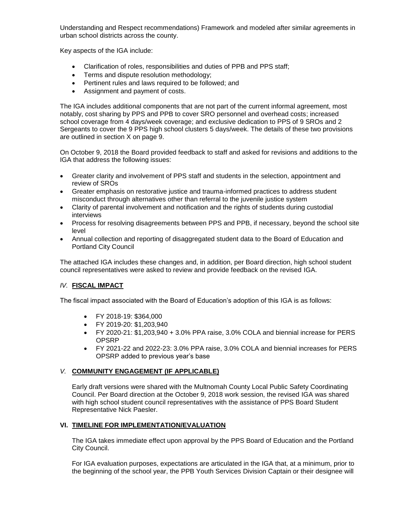Understanding and Respect recommendations) Framework and modeled after similar agreements in urban school districts across the county.

Key aspects of the IGA include:

- Clarification of roles, responsibilities and duties of PPB and PPS staff;
- **•** Terms and dispute resolution methodology;
- Pertinent rules and laws required to be followed; and
- Assignment and payment of costs.

The IGA includes additional components that are not part of the current informal agreement, most notably, cost sharing by PPS and PPB to cover SRO personnel and overhead costs; increased school coverage from 4 days/week coverage; and exclusive dedication to PPS of 9 SROs and 2 Sergeants to cover the 9 PPS high school clusters 5 days/week. The details of these two provisions are outlined in section X on page 9.

On October 9, 2018 the Board provided feedback to staff and asked for revisions and additions to the IGA that address the following issues:

- Greater clarity and involvement of PPS staff and students in the selection, appointment and review of SROs
- Greater emphasis on restorative justice and trauma-informed practices to address student misconduct through alternatives other than referral to the juvenile justice system
- Clarity of parental involvement and notification and the rights of students during custodial interviews
- Process for resolving disagreements between PPS and PPB, if necessary, beyond the school site level
- Annual collection and reporting of disaggregated student data to the Board of Education and Portland City Council

The attached IGA includes these changes and, in addition, per Board direction, high school student council representatives were asked to review and provide feedback on the revised IGA.

#### *IV.* **FISCAL IMPACT**

The fiscal impact associated with the Board of Education's adoption of this IGA is as follows:

- FY 2018-19: \$364,000
- FY 2019-20: \$1,203,940
- FY 2020-21: \$1,203,940 + 3.0% PPA raise, 3.0% COLA and biennial increase for PERS OPSRP
- FY 2021-22 and 2022-23: 3.0% PPA raise, 3.0% COLA and biennial increases for PERS OPSRP added to previous year's base

#### *V.* **COMMUNITY ENGAGEMENT (IF APPLICABLE)**

Early draft versions were shared with the Multnomah County Local Public Safety Coordinating Council. Per Board direction at the October 9, 2018 work session, the revised IGA was shared with high school student council representatives with the assistance of PPS Board Student Representative Nick Paesler.

## **VI. TIMELINE FOR IMPLEMENTATION/EVALUATION**

The IGA takes immediate effect upon approval by the PPS Board of Education and the Portland City Council.

For IGA evaluation purposes, expectations are articulated in the IGA that, at a minimum, prior to the beginning of the school year, the PPB Youth Services Division Captain or their designee will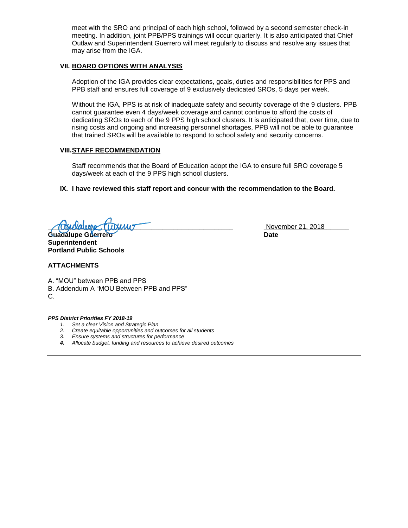meet with the SRO and principal of each high school, followed by a second semester check-in meeting. In addition, joint PPB/PPS trainings will occur quarterly. It is also anticipated that Chief Outlaw and Superintendent Guerrero will meet regularly to discuss and resolve any issues that may arise from the IGA.

#### **VII. BOARD OPTIONS WITH ANALYSIS**

Adoption of the IGA provides clear expectations, goals, duties and responsibilities for PPS and PPB staff and ensures full coverage of 9 exclusively dedicated SROs, 5 days per week.

Without the IGA, PPS is at risk of inadequate safety and security coverage of the 9 clusters. PPB cannot guarantee even 4 days/week coverage and cannot continue to afford the costs of dedicating SROs to each of the 9 PPS high school clusters. It is anticipated that, over time, due to rising costs and ongoing and increasing personnel shortages, PPB will not be able to guarantee that trained SROs will be available to respond to school safety and security concerns.

#### **VIII.STAFF RECOMMENDATION**

Staff recommends that the Board of Education adopt the IGA to ensure full SRO coverage 5 days/week at each of the 9 PPS high school clusters.

**IX. I have reviewed this staff report and concur with the recommendation to the Board.**

**Trouble Turning Turning Community November 21, 2018** 

**Guadalupe Guerrero Date Superintendent Portland Public Schools**

#### **ATTACHMENTS**

A. "MOU" between PPB and PPS B. Addendum A "MOU Between PPB and PPS" C.

*PPS District Priorities FY 2018-19*

- *1. Set a clear Vision and Strategic Plan*
- *2. Create equitable opportunities and outcomes for all students*
- *3. Ensure systems and structures for performance*
- *4. Allocate budget, funding and resources to achieve desired outcomes*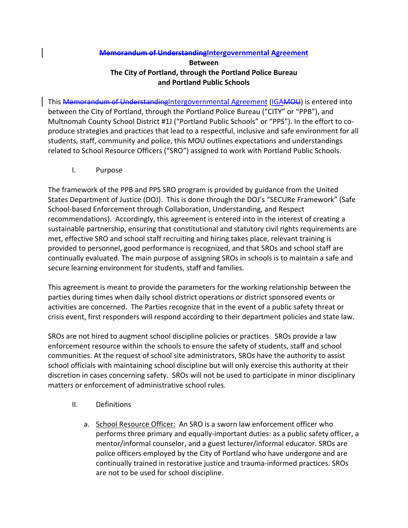## **Memorandum of UnderstandingIntergovernmental Agreement**

# **Between The City of Portland, through the Portland Police Bureau and Portland Public Schools**

This **Memorandum of Understanding**Intergovernmental Agreement (IGAMOU) is entered into between the City of Portland, through the Portland Police Bureau ("CITY" or "PPB"), and Multnomah County School District #1J ("Portland Public Schools" or "PPS"). In the effort to co‐ produce strategies and practices that lead to a respectful, inclusive and safe environment for all students, staff, community and police, this MOU outlines expectations and understandings related to School Resource Officers ("SRO") assigned to work with Portland Public Schools.

I. Purpose

The framework of the PPB and PPS SRO program is provided by guidance from the United States Department of Justice (DOJ). This is done through the DOJ's "SECURe Framework" (Safe School‐based Enforcement through Collaboration, Understanding, and Respect recommendations). Accordingly, this agreement is entered into in the interest of creating a sustainable partnership, ensuring that constitutional and statutory civil rights requirements are met, effective SRO and school staff recruiting and hiring takes place, relevant training is provided to personnel, good performance is recognized, and that SROs and school staff are continually evaluated. The main purpose of assigning SROs in schools is to maintain a safe and secure learning environment for students, staff and families.

This agreement is meant to provide the parameters for the working relationship between the parties during times when daily school district operations or district sponsored events or activities are concerned. The Parties recognize that in the event of a public safety threat or crisis event, first responders will respond according to their department policies and state law.

SROs are not hired to augment school discipline policies or practices. SROs provide a law enforcement resource within the schools to ensure the safety of students, staff and school communities. At the request of school site administrators, SROs have the authority to assist school officials with maintaining school discipline but will only exercise this authority at their discretion in cases concerning safety. SROs will not be used to participate in minor disciplinary matters or enforcement of administrative school rules.

- II. Definitions
	- a. School Resource Officer: An SRO is a sworn law enforcement officer who performs three primary and equally‐important duties: as a public safety officer, a mentor/informal counselor, and a guest lecturer/informal educator. SROs are police officers employed by the City of Portland who have undergone and are continually trained in restorative justice and trauma‐informed practices. SROs are not to be used for school discipline.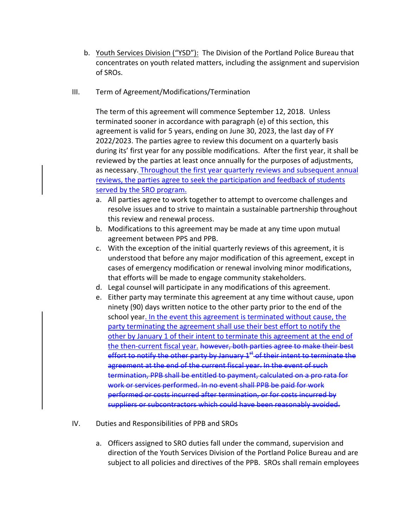- b. Youth Services Division ("YSD"): The Division of the Portland Police Bureau that concentrates on youth related matters, including the assignment and supervision of SROs.
- III. Term of Agreement/Modifications/Termination

The term of this agreement will commence September 12, 2018. Unless terminated sooner in accordance with paragraph (e) of this section, this agreement is valid for 5 years, ending on June 30, 2023, the last day of FY 2022/2023. The parties agree to review this document on a quarterly basis during its' first year for any possible modifications. After the first year, it shall be reviewed by the parties at least once annually for the purposes of adjustments, as necessary. Throughout the first year quarterly reviews and subsequent annual reviews, the parties agree to seek the participation and feedback of students served by the SRO program.

- a. All parties agree to work together to attempt to overcome challenges and resolve issues and to strive to maintain a sustainable partnership throughout this review and renewal process.
- b. Modifications to this agreement may be made at any time upon mutual agreement between PPS and PPB.
- c. With the exception of the initial quarterly reviews of this agreement, it is understood that before any major modification of this agreement, except in cases of emergency modification or renewal involving minor modifications, that efforts will be made to engage community stakeholders.
- d. Legal counsel will participate in any modifications of this agreement.
- e. Either party may terminate this agreement at any time without cause, upon ninety (90) days written notice to the other party prior to the end of the school year. In the event this agreement is terminated without cause, the party terminating the agreement shall use their best effort to notify the other by January 1 of their intent to terminate this agreement at the end of the then-current fiscal year. however, both parties agree to make their best effort to notify the other party by January  $1<sup>st</sup>$  of their intent to terminate the agreement at the end of the current fiscal year. In the event of such termination, PPB shall be entitled to payment, calculated on a pro rata for work or services performed. In no event shall PPB be paid for work performed or costs incurred after termination, or for costs incurred by suppliers or subcontractors which could have been reasonably avoided.
- IV. Duties and Responsibilities of PPB and SROs
	- a. Officers assigned to SRO duties fall under the command, supervision and direction of the Youth Services Division of the Portland Police Bureau and are subject to all policies and directives of the PPB. SROs shall remain employees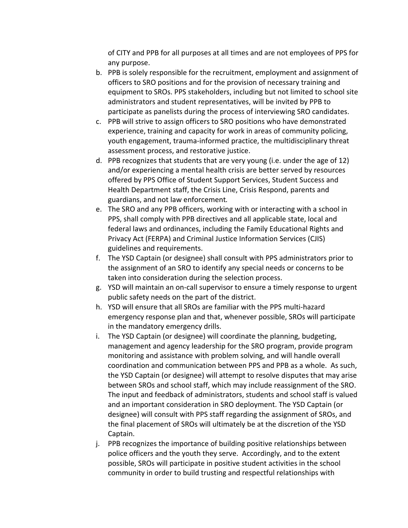of CITY and PPB for all purposes at all times and are not employees of PPS for any purpose.

- b. PPB is solely responsible for the recruitment, employment and assignment of officers to SRO positions and for the provision of necessary training and equipment to SROs. PPS stakeholders, including but not limited to school site administrators and student representatives, will be invited by PPB to participate as panelists during the process of interviewing SRO candidates.
- c. PPB will strive to assign officers to SRO positions who have demonstrated experience, training and capacity for work in areas of community policing, youth engagement, trauma‐informed practice, the multidisciplinary threat assessment process, and restorative justice.
- d. PPB recognizes that students that are very young (i.e. under the age of 12) and/or experiencing a mental health crisis are better served by resources offered by PPS Office of Student Support Services, Student Success and Health Department staff, the Crisis Line, Crisis Respond, parents and guardians, and not law enforcement*.*
- e. The SRO and any PPB officers, working with or interacting with a school in PPS, shall comply with PPB directives and all applicable state, local and federal laws and ordinances, including the Family Educational Rights and Privacy Act (FERPA) and Criminal Justice Information Services (CJIS) guidelines and requirements.
- f. The YSD Captain (or designee) shall consult with PPS administrators prior to the assignment of an SRO to identify any special needs or concerns to be taken into consideration during the selection process.
- g. YSD will maintain an on‐call supervisor to ensure a timely response to urgent public safety needs on the part of the district.
- h. YSD will ensure that all SROs are familiar with the PPS multi‐hazard emergency response plan and that, whenever possible, SROs will participate in the mandatory emergency drills.
- i. The YSD Captain (or designee) will coordinate the planning, budgeting, management and agency leadership for the SRO program, provide program monitoring and assistance with problem solving, and will handle overall coordination and communication between PPS and PPB as a whole. As such, the YSD Captain (or designee) will attempt to resolve disputes that may arise between SROs and school staff, which may include reassignment of the SRO. The input and feedback of administrators, students and school staff is valued and an important consideration in SRO deployment. The YSD Captain (or designee) will consult with PPS staff regarding the assignment of SROs, and the final placement of SROs will ultimately be at the discretion of the YSD Captain.
- j. PPB recognizes the importance of building positive relationships between police officers and the youth they serve. Accordingly, and to the extent possible, SROs will participate in positive student activities in the school community in order to build trusting and respectful relationships with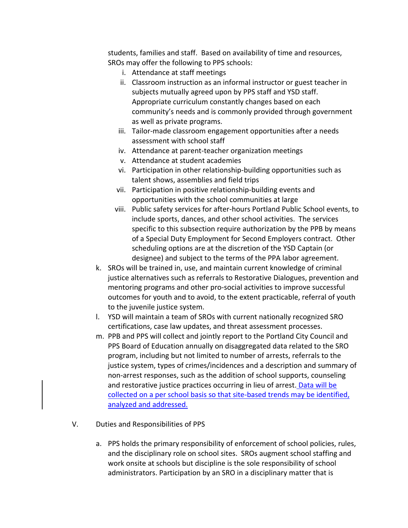students, families and staff. Based on availability of time and resources, SROs may offer the following to PPS schools:

- i. Attendance at staff meetings
- ii. Classroom instruction as an informal instructor or guest teacher in subjects mutually agreed upon by PPS staff and YSD staff. Appropriate curriculum constantly changes based on each community's needs and is commonly provided through government as well as private programs.
- iii. Tailor-made classroom engagement opportunities after a needs assessment with school staff
- iv. Attendance at parent‐teacher organization meetings
- v. Attendance at student academies
- vi. Participation in other relationship‐building opportunities such as talent shows, assemblies and field trips
- vii. Participation in positive relationship‐building events and opportunities with the school communities at large
- viii. Public safety services for after‐hours Portland Public School events, to include sports, dances, and other school activities. The services specific to this subsection require authorization by the PPB by means of a Special Duty Employment for Second Employers contract. Other scheduling options are at the discretion of the YSD Captain (or designee) and subject to the terms of the PPA labor agreement.
- k. SROs will be trained in, use, and maintain current knowledge of criminal justice alternatives such as referrals to Restorative Dialogues, prevention and mentoring programs and other pro‐social activities to improve successful outcomes for youth and to avoid, to the extent practicable, referral of youth to the juvenile justice system.
- l. YSD will maintain a team of SROs with current nationally recognized SRO certifications, case law updates, and threat assessment processes.
- m. PPB and PPS will collect and jointly report to the Portland City Council and PPS Board of Education annually on disaggregated data related to the SRO program, including but not limited to number of arrests, referrals to the justice system, types of crimes/incidences and a description and summary of non‐arrest responses, such as the addition of school supports, counseling and restorative justice practices occurring in lieu of arrest. Data will be collected on a per school basis so that site‐based trends may be identified, analyzed and addressed.
- V. Duties and Responsibilities of PPS
	- a. PPS holds the primary responsibility of enforcement of school policies, rules, and the disciplinary role on school sites. SROs augment school staffing and work onsite at schools but discipline is the sole responsibility of school administrators. Participation by an SRO in a disciplinary matter that is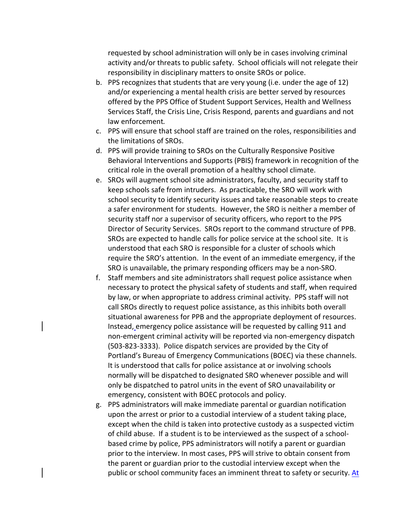requested by school administration will only be in cases involving criminal activity and/or threats to public safety. School officials will not relegate their responsibility in disciplinary matters to onsite SROs or police.

- b. PPS recognizes that students that are very young (i.e. under the age of 12) and/or experiencing a mental health crisis are better served by resources offered by the PPS Office of Student Support Services, Health and Wellness Services Staff, the Crisis Line, Crisis Respond, parents and guardians and not law enforcement*.*
- c. PPS will ensure that school staff are trained on the roles, responsibilities and the limitations of SROs.
- d. PPS will provide training to SROs on the Culturally Responsive Positive Behavioral Interventions and Supports (PBIS) framework in recognition of the critical role in the overall promotion of a healthy school climate.
- e. SROs will augment school site administrators, faculty, and security staff to keep schools safe from intruders. As practicable, the SRO will work with school security to identify security issues and take reasonable steps to create a safer environment for students. However, the SRO is neither a member of security staff nor a supervisor of security officers, who report to the PPS Director of Security Services. SROs report to the command structure of PPB. SROs are expected to handle calls for police service at the school site. It is understood that each SRO is responsible for a cluster of schools which require the SRO's attention. In the event of an immediate emergency, if the SRO is unavailable, the primary responding officers may be a non‐SRO.
- f. Staff members and site administrators shall request police assistance when necessary to protect the physical safety of students and staff, when required by law, or when appropriate to address criminal activity. PPS staff will not call SROs directly to request police assistance, as this inhibits both overall situational awareness for PPB and the appropriate deployment of resources. Instead, emergency police assistance will be requested by calling 911 and non‐emergent criminal activity will be reported via non‐emergency dispatch (503‐823‐3333). Police dispatch services are provided by the City of Portland's Bureau of Emergency Communications (BOEC) via these channels. It is understood that calls for police assistance at or involving schools normally will be dispatched to designated SRO whenever possible and will only be dispatched to patrol units in the event of SRO unavailability or emergency, consistent with BOEC protocols and policy.
- g. PPS administrators will make immediate parental or guardian notification upon the arrest or prior to a custodial interview of a student taking place, except when the child is taken into protective custody as a suspected victim of child abuse. If a student is to be interviewed as the suspect of a school‐ based crime by police, PPS administrators will notify a parent or guardian prior to the interview. In most cases, PPS will strive to obtain consent from the parent or guardian prior to the custodial interview except when the public or school community faces an imminent threat to safety or security. At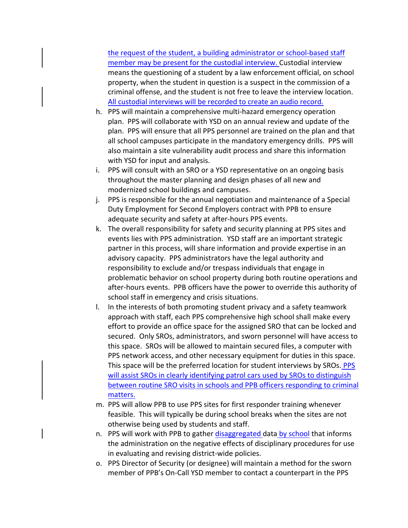the request of the student, a building administrator or school‐based staff member may be present for the custodial interview. Custodial interview means the questioning of a student by a law enforcement official, on school property, when the student in question is a suspect in the commission of a criminal offense, and the student is not free to leave the interview location. All custodial interviews will be recorded to create an audio record.

- h. PPS will maintain a comprehensive multi-hazard emergency operation plan. PPS will collaborate with YSD on an annual review and update of the plan. PPS will ensure that all PPS personnel are trained on the plan and that all school campuses participate in the mandatory emergency drills. PPS will also maintain a site vulnerability audit process and share this information with YSD for input and analysis.
- i. PPS will consult with an SRO or a YSD representative on an ongoing basis throughout the master planning and design phases of all new and modernized school buildings and campuses.
- j. PPS is responsible for the annual negotiation and maintenance of a Special Duty Employment for Second Employers contract with PPB to ensure adequate security and safety at after‐hours PPS events.
- k. The overall responsibility for safety and security planning at PPS sites and events lies with PPS administration. YSD staff are an important strategic partner in this process, will share information and provide expertise in an advisory capacity. PPS administrators have the legal authority and responsibility to exclude and/or trespass individuals that engage in problematic behavior on school property during both routine operations and after‐hours events. PPB officers have the power to override this authority of school staff in emergency and crisis situations.
- l. In the interests of both promoting student privacy and a safety teamwork approach with staff, each PPS comprehensive high school shall make every effort to provide an office space for the assigned SRO that can be locked and secured. Only SROs, administrators, and sworn personnel will have access to this space. SROs will be allowed to maintain secured files, a computer with PPS network access, and other necessary equipment for duties in this space. This space will be the preferred location for student interviews by SROs. PPS will assist SROs in clearly identifying patrol cars used by SROs to distinguish between routine SRO visits in schools and PPB officers responding to criminal matters.
- m. PPS will allow PPB to use PPS sites for first responder training whenever feasible. This will typically be during school breaks when the sites are not otherwise being used by students and staff.
- n. PPS will work with PPB to gather disaggregated data by school that informs the administration on the negative effects of disciplinary procedures for use in evaluating and revising district‐wide policies.
- o. PPS Director of Security (or designee) will maintain a method for the sworn member of PPB's On-Call YSD member to contact a counterpart in the PPS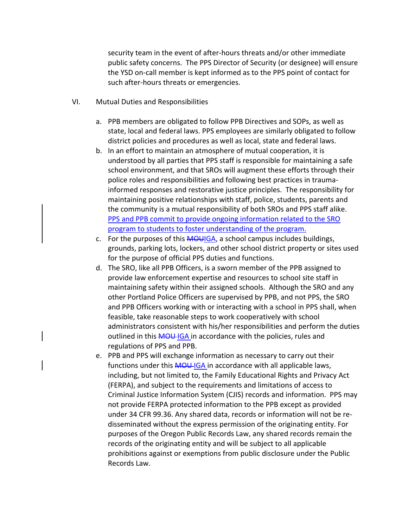security team in the event of after‐hours threats and/or other immediate public safety concerns. The PPS Director of Security (or designee) will ensure the YSD on‐call member is kept informed as to the PPS point of contact for such after‐hours threats or emergencies.

- VI. Mutual Duties and Responsibilities
	- a. PPB members are obligated to follow PPB Directives and SOPs, as well as state, local and federal laws. PPS employees are similarly obligated to follow district policies and procedures as well as local, state and federal laws.
	- b. In an effort to maintain an atmosphere of mutual cooperation, it is understood by all parties that PPS staff is responsible for maintaining a safe school environment, and that SROs will augment these efforts through their police roles and responsibilities and following best practices in trauma‐ informed responses and restorative justice principles. The responsibility for maintaining positive relationships with staff, police, students, parents and the community is a mutual responsibility of both SROs and PPS staff alike. PPS and PPB commit to provide ongoing information related to the SRO program to students to foster understanding of the program.
	- c. For the purposes of this MOUIGA, a school campus includes buildings, grounds, parking lots, lockers, and other school district property or sites used for the purpose of official PPS duties and functions.
	- d. The SRO, like all PPB Officers, is a sworn member of the PPB assigned to provide law enforcement expertise and resources to school site staff in maintaining safety within their assigned schools. Although the SRO and any other Portland Police Officers are supervised by PPB, and not PPS, the SRO and PPB Officers working with or interacting with a school in PPS shall, when feasible, take reasonable steps to work cooperatively with school administrators consistent with his/her responsibilities and perform the duties outlined in this **MOU-IGA** in accordance with the policies, rules and regulations of PPS and PPB.
	- e. PPB and PPS will exchange information as necessary to carry out their functions under this **MOU-IGA** in accordance with all applicable laws, including, but not limited to, the Family Educational Rights and Privacy Act (FERPA), and subject to the requirements and limitations of access to Criminal Justice Information System (CJIS) records and information. PPS may not provide FERPA protected information to the PPB except as provided under 34 CFR 99.36. Any shared data, records or information will not be re‐ disseminated without the express permission of the originating entity. For purposes of the Oregon Public Records Law, any shared records remain the records of the originating entity and will be subject to all applicable prohibitions against or exemptions from public disclosure under the Public Records Law.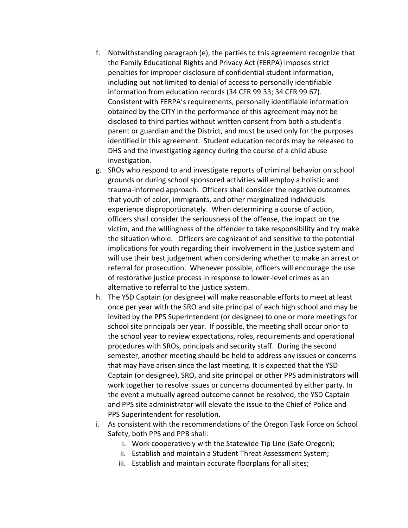- f. Notwithstanding paragraph (e), the parties to this agreement recognize that the Family Educational Rights and Privacy Act (FERPA) imposes strict penalties for improper disclosure of confidential student information, including but not limited to denial of access to personally identifiable information from education records (34 CFR 99.33; 34 CFR 99.67). Consistent with FERPA's requirements, personally identifiable information obtained by the CITY in the performance of this agreement may not be disclosed to third parties without written consent from both a student's parent or guardian and the District, and must be used only for the purposes identified in this agreement. Student education records may be released to DHS and the investigating agency during the course of a child abuse investigation.
- g. SROs who respond to and investigate reports of criminal behavior on school grounds or during school sponsored activities will employ a holistic and trauma‐informed approach. Officers shall consider the negative outcomes that youth of color, immigrants, and other marginalized individuals experience disproportionately. When determining a course of action, officers shall consider the seriousness of the offense, the impact on the victim, and the willingness of the offender to take responsibility and try make the situation whole. Officers are cognizant of and sensitive to the potential implications for youth regarding their involvement in the justice system and will use their best judgement when considering whether to make an arrest or referral for prosecution. Whenever possible, officers will encourage the use of restorative justice process in response to lower‐level crimes as an alternative to referral to the justice system.
- h. The YSD Captain (or designee) will make reasonable efforts to meet at least once per year with the SRO and site principal of each high school and may be invited by the PPS Superintendent (or designee) to one or more meetings for school site principals per year. If possible, the meeting shall occur prior to the school year to review expectations, roles, requirements and operational procedures with SROs, principals and security staff. During the second semester, another meeting should be held to address any issues or concerns that may have arisen since the last meeting. It is expected that the YSD Captain (or designee), SRO, and site principal or other PPS administrators will work together to resolve issues or concerns documented by either party. In the event a mutually agreed outcome cannot be resolved, the YSD Captain and PPS site administrator will elevate the issue to the Chief of Police and PPS Superintendent for resolution.
- i. As consistent with the recommendations of the Oregon Task Force on School Safety, both PPS and PPB shall:
	- i. Work cooperatively with the Statewide Tip Line (Safe Oregon);
	- ii. Establish and maintain a Student Threat Assessment System;
	- iii. Establish and maintain accurate floorplans for all sites;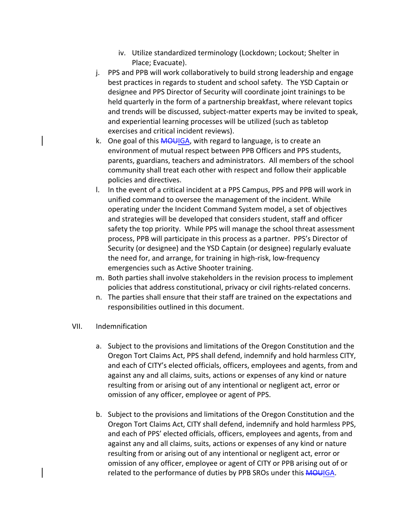- iv. Utilize standardized terminology (Lockdown; Lockout; Shelter in Place; Evacuate).
- j. PPS and PPB will work collaboratively to build strong leadership and engage best practices in regards to student and school safety. The YSD Captain or designee and PPS Director of Security will coordinate joint trainings to be held quarterly in the form of a partnership breakfast, where relevant topics and trends will be discussed, subject‐matter experts may be invited to speak, and experiential learning processes will be utilized (such as tabletop exercises and critical incident reviews).
- k. One goal of this **MOUIGA**, with regard to language, is to create an environment of mutual respect between PPB Officers and PPS students, parents, guardians, teachers and administrators. All members of the school community shall treat each other with respect and follow their applicable policies and directives.
- l. In the event of a critical incident at a PPS Campus, PPS and PPB will work in unified command to oversee the management of the incident. While operating under the Incident Command System model, a set of objectives and strategies will be developed that considers student, staff and officer safety the top priority. While PPS will manage the school threat assessment process, PPB will participate in this process as a partner. PPS's Director of Security (or designee) and the YSD Captain (or designee) regularly evaluate the need for, and arrange, for training in high‐risk, low‐frequency emergencies such as Active Shooter training.
- m. Both parties shall involve stakeholders in the revision process to implement policies that address constitutional, privacy or civil rights‐related concerns.
- n. The parties shall ensure that their staff are trained on the expectations and responsibilities outlined in this document.
- VII. Indemnification
	- a. Subject to the provisions and limitations of the Oregon Constitution and the Oregon Tort Claims Act, PPS shall defend, indemnify and hold harmless CITY, and each of CITY's elected officials, officers, employees and agents, from and against any and all claims, suits, actions or expenses of any kind or nature resulting from or arising out of any intentional or negligent act, error or omission of any officer, employee or agent of PPS.
	- b. Subject to the provisions and limitations of the Oregon Constitution and the Oregon Tort Claims Act, CITY shall defend, indemnify and hold harmless PPS, and each of PPS' elected officials, officers, employees and agents, from and against any and all claims, suits, actions or expenses of any kind or nature resulting from or arising out of any intentional or negligent act, error or omission of any officer, employee or agent of CITY or PPB arising out of or related to the performance of duties by PPB SROs under this MOUIGA.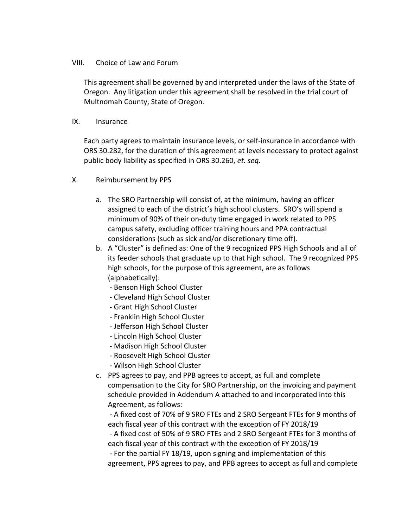## VIII. Choice of Law and Forum

This agreement shall be governed by and interpreted under the laws of the State of Oregon. Any litigation under this agreement shall be resolved in the trial court of Multnomah County, State of Oregon.

IX. Insurance

Each party agrees to maintain insurance levels, or self‐insurance in accordance with ORS 30.282, for the duration of this agreement at levels necessary to protect against public body liability as specified in ORS 30.260, *et. seq*.

- X. Reimbursement by PPS
	- a. The SRO Partnership will consist of, at the minimum, having an officer assigned to each of the district's high school clusters. SRO's will spend a minimum of 90% of their on‐duty time engaged in work related to PPS campus safety, excluding officer training hours and PPA contractual considerations (such as sick and/or discretionary time off).
	- b. A "Cluster" is defined as: One of the 9 recognized PPS High Schools and all of its feeder schools that graduate up to that high school. The 9 recognized PPS high schools, for the purpose of this agreement, are as follows (alphabetically):
		- ‐ Benson High School Cluster
		- ‐ Cleveland High School Cluster
		- ‐ Grant High School Cluster
		- ‐ Franklin High School Cluster
		- ‐ Jefferson High School Cluster
		- ‐ Lincoln High School Cluster
		- ‐ Madison High School Cluster
		- ‐ Roosevelt High School Cluster
		- ‐ Wilson High School Cluster
	- c. PPS agrees to pay, and PPB agrees to accept, as full and complete compensation to the City for SRO Partnership, on the invoicing and payment schedule provided in Addendum A attached to and incorporated into this Agreement, as follows:

 ‐ A fixed cost of 70% of 9 SRO FTEs and 2 SRO Sergeant FTEs for 9 months of each fiscal year of this contract with the exception of FY 2018/19

 ‐ A fixed cost of 50% of 9 SRO FTEs and 2 SRO Sergeant FTEs for 3 months of each fiscal year of this contract with the exception of FY 2018/19

 ‐ For the partial FY 18/19, upon signing and implementation of this agreement, PPS agrees to pay, and PPB agrees to accept as full and complete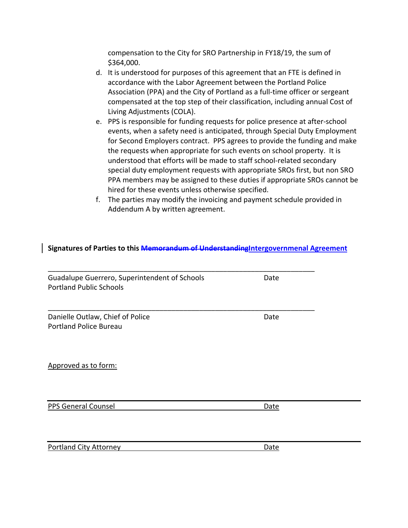compensation to the City for SRO Partnership in FY18/19, the sum of \$364,000.

- d. It is understood for purposes of this agreement that an FTE is defined in accordance with the Labor Agreement between the Portland Police Association (PPA) and the City of Portland as a full‐time officer or sergeant compensated at the top step of their classification, including annual Cost of Living Adjustments (COLA).
- e. PPS is responsible for funding requests for police presence at after‐school events, when a safety need is anticipated, through Special Duty Employment for Second Employers contract. PPS agrees to provide the funding and make the requests when appropriate for such events on school property. It is understood that efforts will be made to staff school‐related secondary special duty employment requests with appropriate SROs first, but non SRO PPA members may be assigned to these duties if appropriate SROs cannot be hired for these events unless otherwise specified.
- f. The parties may modify the invoicing and payment schedule provided in Addendum A by written agreement.

# **Signatures of Parties to this Memorandum of UnderstandingIntergovernmenal Agreement**

\_\_\_\_\_\_\_\_\_\_\_\_\_\_\_\_\_\_\_\_\_\_\_\_\_\_\_\_\_\_\_\_\_\_\_\_\_\_\_\_\_\_\_\_\_\_\_\_\_\_\_\_\_\_\_\_\_\_\_\_\_\_\_\_\_\_\_ Guadalupe Guerrero, Superintendent of Schools **Date** Portland Public Schools

Danielle Outlaw, Chief of Police **Branch and Chief Contact Chief Chief** Date Portland Police Bureau

Approved as to form:

PPS General Counsel **Date Date** 

Portland City Attorney **Date** 

\_\_\_\_\_\_\_\_\_\_\_\_\_\_\_\_\_\_\_\_\_\_\_\_\_\_\_\_\_\_\_\_\_\_\_\_\_\_\_\_\_\_\_\_\_\_\_\_\_\_\_\_\_\_\_\_\_\_\_\_\_\_\_\_\_\_\_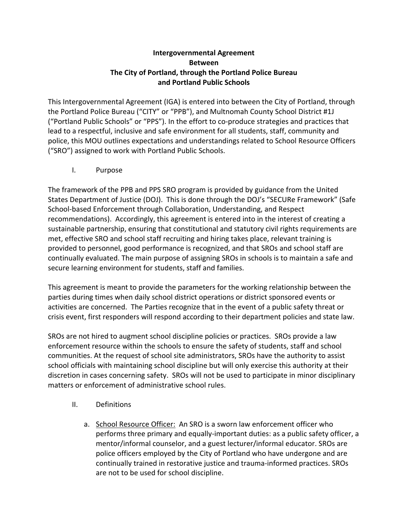# **Intergovernmental Agreement Between The City of Portland, through the Portland Police Bureau and Portland Public Schools**

This Intergovernmental Agreement (IGA) is entered into between the City of Portland, through the Portland Police Bureau ("CITY" or "PPB"), and Multnomah County School District #1J ("Portland Public Schools" or "PPS"). In the effort to co‐produce strategies and practices that lead to a respectful, inclusive and safe environment for all students, staff, community and police, this MOU outlines expectations and understandings related to School Resource Officers ("SRO") assigned to work with Portland Public Schools.

I. Purpose

The framework of the PPB and PPS SRO program is provided by guidance from the United States Department of Justice (DOJ). This is done through the DOJ's "SECURe Framework" (Safe School‐based Enforcement through Collaboration, Understanding, and Respect recommendations). Accordingly, this agreement is entered into in the interest of creating a sustainable partnership, ensuring that constitutional and statutory civil rights requirements are met, effective SRO and school staff recruiting and hiring takes place, relevant training is provided to personnel, good performance is recognized, and that SROs and school staff are continually evaluated. The main purpose of assigning SROs in schools is to maintain a safe and secure learning environment for students, staff and families.

This agreement is meant to provide the parameters for the working relationship between the parties during times when daily school district operations or district sponsored events or activities are concerned. The Parties recognize that in the event of a public safety threat or crisis event, first responders will respond according to their department policies and state law.

SROs are not hired to augment school discipline policies or practices. SROs provide a law enforcement resource within the schools to ensure the safety of students, staff and school communities. At the request of school site administrators, SROs have the authority to assist school officials with maintaining school discipline but will only exercise this authority at their discretion in cases concerning safety. SROs will not be used to participate in minor disciplinary matters or enforcement of administrative school rules.

- II. Definitions
	- a. School Resource Officer: An SRO is a sworn law enforcement officer who performs three primary and equally‐important duties: as a public safety officer, a mentor/informal counselor, and a guest lecturer/informal educator. SROs are police officers employed by the City of Portland who have undergone and are continually trained in restorative justice and trauma‐informed practices. SROs are not to be used for school discipline.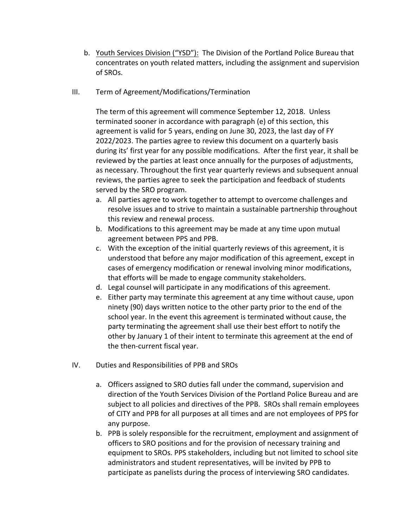- b. Youth Services Division ("YSD"): The Division of the Portland Police Bureau that concentrates on youth related matters, including the assignment and supervision of SROs.
- III. Term of Agreement/Modifications/Termination

The term of this agreement will commence September 12, 2018. Unless terminated sooner in accordance with paragraph (e) of this section, this agreement is valid for 5 years, ending on June 30, 2023, the last day of FY 2022/2023. The parties agree to review this document on a quarterly basis during its' first year for any possible modifications. After the first year, it shall be reviewed by the parties at least once annually for the purposes of adjustments, as necessary. Throughout the first year quarterly reviews and subsequent annual reviews, the parties agree to seek the participation and feedback of students served by the SRO program.

- a. All parties agree to work together to attempt to overcome challenges and resolve issues and to strive to maintain a sustainable partnership throughout this review and renewal process.
- b. Modifications to this agreement may be made at any time upon mutual agreement between PPS and PPB.
- c. With the exception of the initial quarterly reviews of this agreement, it is understood that before any major modification of this agreement, except in cases of emergency modification or renewal involving minor modifications, that efforts will be made to engage community stakeholders.
- d. Legal counsel will participate in any modifications of this agreement.
- e. Either party may terminate this agreement at any time without cause, upon ninety (90) days written notice to the other party prior to the end of the school year. In the event this agreement is terminated without cause, the party terminating the agreement shall use their best effort to notify the other by January 1 of their intent to terminate this agreement at the end of the then‐current fiscal year.
- IV. Duties and Responsibilities of PPB and SROs
	- a. Officers assigned to SRO duties fall under the command, supervision and direction of the Youth Services Division of the Portland Police Bureau and are subject to all policies and directives of the PPB. SROs shall remain employees of CITY and PPB for all purposes at all times and are not employees of PPS for any purpose.
	- b. PPB is solely responsible for the recruitment, employment and assignment of officers to SRO positions and for the provision of necessary training and equipment to SROs. PPS stakeholders, including but not limited to school site administrators and student representatives, will be invited by PPB to participate as panelists during the process of interviewing SRO candidates.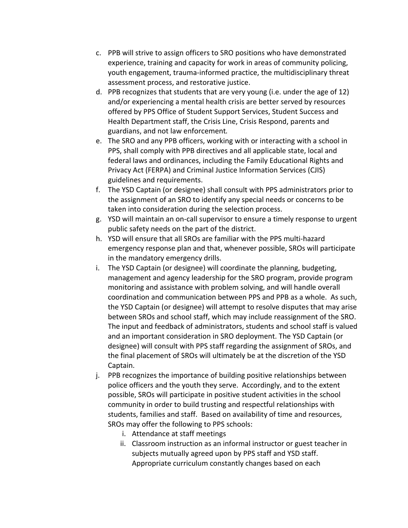- c. PPB will strive to assign officers to SRO positions who have demonstrated experience, training and capacity for work in areas of community policing, youth engagement, trauma‐informed practice, the multidisciplinary threat assessment process, and restorative justice.
- d. PPB recognizes that students that are very young (i.e. under the age of 12) and/or experiencing a mental health crisis are better served by resources offered by PPS Office of Student Support Services, Student Success and Health Department staff, the Crisis Line, Crisis Respond, parents and guardians, and not law enforcement*.*
- e. The SRO and any PPB officers, working with or interacting with a school in PPS, shall comply with PPB directives and all applicable state, local and federal laws and ordinances, including the Family Educational Rights and Privacy Act (FERPA) and Criminal Justice Information Services (CJIS) guidelines and requirements.
- f. The YSD Captain (or designee) shall consult with PPS administrators prior to the assignment of an SRO to identify any special needs or concerns to be taken into consideration during the selection process.
- g. YSD will maintain an on‐call supervisor to ensure a timely response to urgent public safety needs on the part of the district.
- h. YSD will ensure that all SROs are familiar with the PPS multi‐hazard emergency response plan and that, whenever possible, SROs will participate in the mandatory emergency drills.
- i. The YSD Captain (or designee) will coordinate the planning, budgeting, management and agency leadership for the SRO program, provide program monitoring and assistance with problem solving, and will handle overall coordination and communication between PPS and PPB as a whole. As such, the YSD Captain (or designee) will attempt to resolve disputes that may arise between SROs and school staff, which may include reassignment of the SRO. The input and feedback of administrators, students and school staff is valued and an important consideration in SRO deployment. The YSD Captain (or designee) will consult with PPS staff regarding the assignment of SROs, and the final placement of SROs will ultimately be at the discretion of the YSD Captain.
- j. PPB recognizes the importance of building positive relationships between police officers and the youth they serve. Accordingly, and to the extent possible, SROs will participate in positive student activities in the school community in order to build trusting and respectful relationships with students, families and staff. Based on availability of time and resources, SROs may offer the following to PPS schools:
	- i. Attendance at staff meetings
	- ii. Classroom instruction as an informal instructor or guest teacher in subjects mutually agreed upon by PPS staff and YSD staff. Appropriate curriculum constantly changes based on each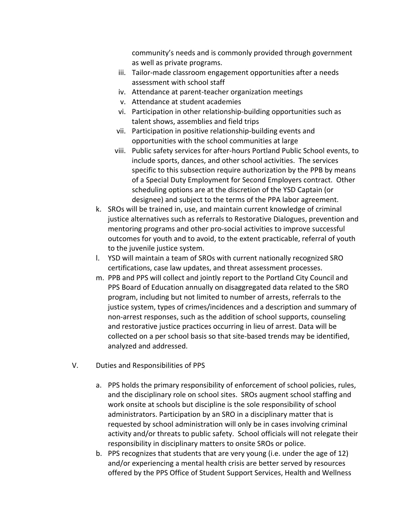community's needs and is commonly provided through government as well as private programs.

- iii. Tailor-made classroom engagement opportunities after a needs assessment with school staff
- iv. Attendance at parent‐teacher organization meetings
- v. Attendance at student academies
- vi. Participation in other relationship‐building opportunities such as talent shows, assemblies and field trips
- vii. Participation in positive relationship‐building events and opportunities with the school communities at large
- viii. Public safety services for after‐hours Portland Public School events, to include sports, dances, and other school activities. The services specific to this subsection require authorization by the PPB by means of a Special Duty Employment for Second Employers contract. Other scheduling options are at the discretion of the YSD Captain (or designee) and subject to the terms of the PPA labor agreement.
- k. SROs will be trained in, use, and maintain current knowledge of criminal justice alternatives such as referrals to Restorative Dialogues, prevention and mentoring programs and other pro‐social activities to improve successful outcomes for youth and to avoid, to the extent practicable, referral of youth to the juvenile justice system.
- l. YSD will maintain a team of SROs with current nationally recognized SRO certifications, case law updates, and threat assessment processes.
- m. PPB and PPS will collect and jointly report to the Portland City Council and PPS Board of Education annually on disaggregated data related to the SRO program, including but not limited to number of arrests, referrals to the justice system, types of crimes/incidences and a description and summary of non‐arrest responses, such as the addition of school supports, counseling and restorative justice practices occurring in lieu of arrest. Data will be collected on a per school basis so that site‐based trends may be identified, analyzed and addressed.
- V. Duties and Responsibilities of PPS
	- a. PPS holds the primary responsibility of enforcement of school policies, rules, and the disciplinary role on school sites. SROs augment school staffing and work onsite at schools but discipline is the sole responsibility of school administrators. Participation by an SRO in a disciplinary matter that is requested by school administration will only be in cases involving criminal activity and/or threats to public safety. School officials will not relegate their responsibility in disciplinary matters to onsite SROs or police.
	- b. PPS recognizes that students that are very young (i.e. under the age of 12) and/or experiencing a mental health crisis are better served by resources offered by the PPS Office of Student Support Services, Health and Wellness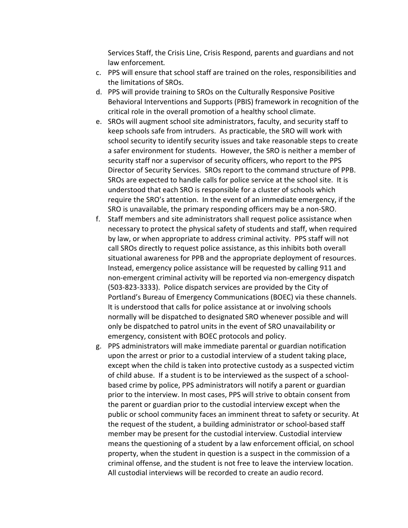Services Staff, the Crisis Line, Crisis Respond, parents and guardians and not law enforcement*.*

- c. PPS will ensure that school staff are trained on the roles, responsibilities and the limitations of SROs.
- d. PPS will provide training to SROs on the Culturally Responsive Positive Behavioral Interventions and Supports (PBIS) framework in recognition of the critical role in the overall promotion of a healthy school climate.
- e. SROs will augment school site administrators, faculty, and security staff to keep schools safe from intruders. As practicable, the SRO will work with school security to identify security issues and take reasonable steps to create a safer environment for students. However, the SRO is neither a member of security staff nor a supervisor of security officers, who report to the PPS Director of Security Services. SROs report to the command structure of PPB. SROs are expected to handle calls for police service at the school site. It is understood that each SRO is responsible for a cluster of schools which require the SRO's attention. In the event of an immediate emergency, if the SRO is unavailable, the primary responding officers may be a non‐SRO.
- f. Staff members and site administrators shall request police assistance when necessary to protect the physical safety of students and staff, when required by law, or when appropriate to address criminal activity. PPS staff will not call SROs directly to request police assistance, as this inhibits both overall situational awareness for PPB and the appropriate deployment of resources. Instead, emergency police assistance will be requested by calling 911 and non‐emergent criminal activity will be reported via non‐emergency dispatch (503‐823‐3333). Police dispatch services are provided by the City of Portland's Bureau of Emergency Communications (BOEC) via these channels. It is understood that calls for police assistance at or involving schools normally will be dispatched to designated SRO whenever possible and will only be dispatched to patrol units in the event of SRO unavailability or emergency, consistent with BOEC protocols and policy.
- g. PPS administrators will make immediate parental or guardian notification upon the arrest or prior to a custodial interview of a student taking place, except when the child is taken into protective custody as a suspected victim of child abuse. If a student is to be interviewed as the suspect of a school‐ based crime by police, PPS administrators will notify a parent or guardian prior to the interview. In most cases, PPS will strive to obtain consent from the parent or guardian prior to the custodial interview except when the public or school community faces an imminent threat to safety or security. At the request of the student, a building administrator or school‐based staff member may be present for the custodial interview. Custodial interview means the questioning of a student by a law enforcement official, on school property, when the student in question is a suspect in the commission of a criminal offense, and the student is not free to leave the interview location. All custodial interviews will be recorded to create an audio record.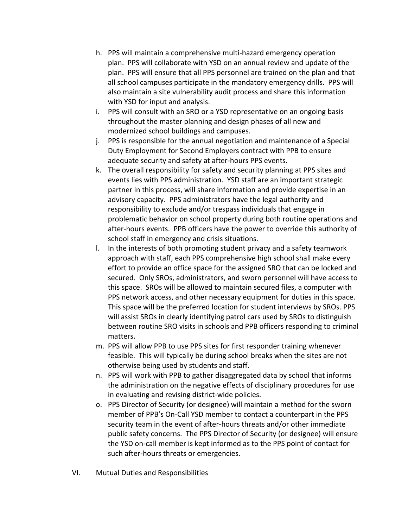- h. PPS will maintain a comprehensive multi‐hazard emergency operation plan. PPS will collaborate with YSD on an annual review and update of the plan. PPS will ensure that all PPS personnel are trained on the plan and that all school campuses participate in the mandatory emergency drills. PPS will also maintain a site vulnerability audit process and share this information with YSD for input and analysis.
- i. PPS will consult with an SRO or a YSD representative on an ongoing basis throughout the master planning and design phases of all new and modernized school buildings and campuses.
- j. PPS is responsible for the annual negotiation and maintenance of a Special Duty Employment for Second Employers contract with PPB to ensure adequate security and safety at after‐hours PPS events.
- k. The overall responsibility for safety and security planning at PPS sites and events lies with PPS administration. YSD staff are an important strategic partner in this process, will share information and provide expertise in an advisory capacity. PPS administrators have the legal authority and responsibility to exclude and/or trespass individuals that engage in problematic behavior on school property during both routine operations and after‐hours events. PPB officers have the power to override this authority of school staff in emergency and crisis situations.
- l. In the interests of both promoting student privacy and a safety teamwork approach with staff, each PPS comprehensive high school shall make every effort to provide an office space for the assigned SRO that can be locked and secured. Only SROs, administrators, and sworn personnel will have access to this space. SROs will be allowed to maintain secured files, a computer with PPS network access, and other necessary equipment for duties in this space. This space will be the preferred location for student interviews by SROs. PPS will assist SROs in clearly identifying patrol cars used by SROs to distinguish between routine SRO visits in schools and PPB officers responding to criminal matters.
- m. PPS will allow PPB to use PPS sites for first responder training whenever feasible. This will typically be during school breaks when the sites are not otherwise being used by students and staff.
- n. PPS will work with PPB to gather disaggregated data by school that informs the administration on the negative effects of disciplinary procedures for use in evaluating and revising district‐wide policies.
- o. PPS Director of Security (or designee) will maintain a method for the sworn member of PPB's On‐Call YSD member to contact a counterpart in the PPS security team in the event of after‐hours threats and/or other immediate public safety concerns. The PPS Director of Security (or designee) will ensure the YSD on‐call member is kept informed as to the PPS point of contact for such after‐hours threats or emergencies.
- VI. Mutual Duties and Responsibilities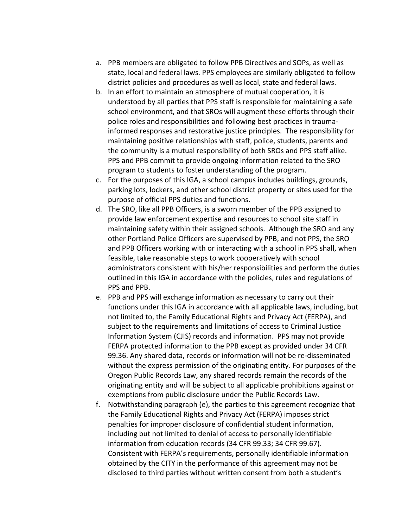- a. PPB members are obligated to follow PPB Directives and SOPs, as well as state, local and federal laws. PPS employees are similarly obligated to follow district policies and procedures as well as local, state and federal laws.
- b. In an effort to maintain an atmosphere of mutual cooperation, it is understood by all parties that PPS staff is responsible for maintaining a safe school environment, and that SROs will augment these efforts through their police roles and responsibilities and following best practices in trauma‐ informed responses and restorative justice principles. The responsibility for maintaining positive relationships with staff, police, students, parents and the community is a mutual responsibility of both SROs and PPS staff alike. PPS and PPB commit to provide ongoing information related to the SRO program to students to foster understanding of the program.
- c. For the purposes of this IGA, a school campus includes buildings, grounds, parking lots, lockers, and other school district property or sites used for the purpose of official PPS duties and functions.
- d. The SRO, like all PPB Officers, is a sworn member of the PPB assigned to provide law enforcement expertise and resources to school site staff in maintaining safety within their assigned schools. Although the SRO and any other Portland Police Officers are supervised by PPB, and not PPS, the SRO and PPB Officers working with or interacting with a school in PPS shall, when feasible, take reasonable steps to work cooperatively with school administrators consistent with his/her responsibilities and perform the duties outlined in this IGA in accordance with the policies, rules and regulations of PPS and PPB.
- e. PPB and PPS will exchange information as necessary to carry out their functions under this IGA in accordance with all applicable laws, including, but not limited to, the Family Educational Rights and Privacy Act (FERPA), and subject to the requirements and limitations of access to Criminal Justice Information System (CJIS) records and information. PPS may not provide FERPA protected information to the PPB except as provided under 34 CFR 99.36. Any shared data, records or information will not be re‐disseminated without the express permission of the originating entity. For purposes of the Oregon Public Records Law, any shared records remain the records of the originating entity and will be subject to all applicable prohibitions against or exemptions from public disclosure under the Public Records Law.
- f. Notwithstanding paragraph (e), the parties to this agreement recognize that the Family Educational Rights and Privacy Act (FERPA) imposes strict penalties for improper disclosure of confidential student information, including but not limited to denial of access to personally identifiable information from education records (34 CFR 99.33; 34 CFR 99.67). Consistent with FERPA's requirements, personally identifiable information obtained by the CITY in the performance of this agreement may not be disclosed to third parties without written consent from both a student's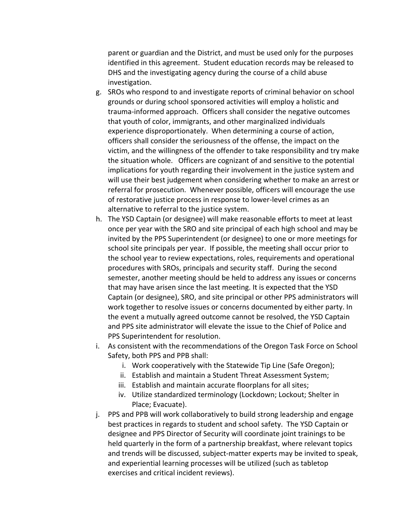parent or guardian and the District, and must be used only for the purposes identified in this agreement. Student education records may be released to DHS and the investigating agency during the course of a child abuse investigation.

- g. SROs who respond to and investigate reports of criminal behavior on school grounds or during school sponsored activities will employ a holistic and trauma‐informed approach. Officers shall consider the negative outcomes that youth of color, immigrants, and other marginalized individuals experience disproportionately. When determining a course of action, officers shall consider the seriousness of the offense, the impact on the victim, and the willingness of the offender to take responsibility and try make the situation whole. Officers are cognizant of and sensitive to the potential implications for youth regarding their involvement in the justice system and will use their best judgement when considering whether to make an arrest or referral for prosecution. Whenever possible, officers will encourage the use of restorative justice process in response to lower‐level crimes as an alternative to referral to the justice system.
- h. The YSD Captain (or designee) will make reasonable efforts to meet at least once per year with the SRO and site principal of each high school and may be invited by the PPS Superintendent (or designee) to one or more meetings for school site principals per year. If possible, the meeting shall occur prior to the school year to review expectations, roles, requirements and operational procedures with SROs, principals and security staff. During the second semester, another meeting should be held to address any issues or concerns that may have arisen since the last meeting. It is expected that the YSD Captain (or designee), SRO, and site principal or other PPS administrators will work together to resolve issues or concerns documented by either party. In the event a mutually agreed outcome cannot be resolved, the YSD Captain and PPS site administrator will elevate the issue to the Chief of Police and PPS Superintendent for resolution.
- i. As consistent with the recommendations of the Oregon Task Force on School Safety, both PPS and PPB shall:
	- i. Work cooperatively with the Statewide Tip Line (Safe Oregon);
	- ii. Establish and maintain a Student Threat Assessment System;
	- iii. Establish and maintain accurate floorplans for all sites;
	- iv. Utilize standardized terminology (Lockdown; Lockout; Shelter in Place; Evacuate).
- j. PPS and PPB will work collaboratively to build strong leadership and engage best practices in regards to student and school safety. The YSD Captain or designee and PPS Director of Security will coordinate joint trainings to be held quarterly in the form of a partnership breakfast, where relevant topics and trends will be discussed, subject‐matter experts may be invited to speak, and experiential learning processes will be utilized (such as tabletop exercises and critical incident reviews).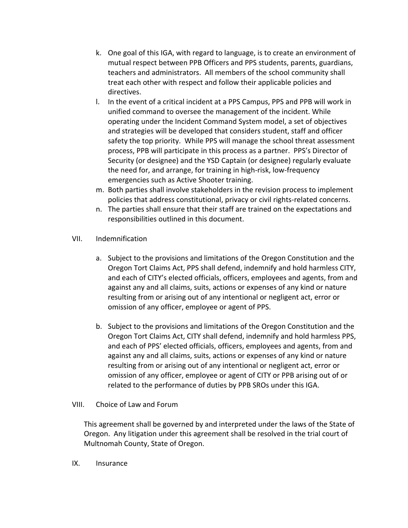- k. One goal of this IGA, with regard to language, is to create an environment of mutual respect between PPB Officers and PPS students, parents, guardians, teachers and administrators. All members of the school community shall treat each other with respect and follow their applicable policies and directives.
- l. In the event of a critical incident at a PPS Campus, PPS and PPB will work in unified command to oversee the management of the incident. While operating under the Incident Command System model, a set of objectives and strategies will be developed that considers student, staff and officer safety the top priority. While PPS will manage the school threat assessment process, PPB will participate in this process as a partner. PPS's Director of Security (or designee) and the YSD Captain (or designee) regularly evaluate the need for, and arrange, for training in high‐risk, low‐frequency emergencies such as Active Shooter training.
- m. Both parties shall involve stakeholders in the revision process to implement policies that address constitutional, privacy or civil rights‐related concerns.
- n. The parties shall ensure that their staff are trained on the expectations and responsibilities outlined in this document.
- VII. Indemnification
	- a. Subject to the provisions and limitations of the Oregon Constitution and the Oregon Tort Claims Act, PPS shall defend, indemnify and hold harmless CITY, and each of CITY's elected officials, officers, employees and agents, from and against any and all claims, suits, actions or expenses of any kind or nature resulting from or arising out of any intentional or negligent act, error or omission of any officer, employee or agent of PPS.
	- b. Subject to the provisions and limitations of the Oregon Constitution and the Oregon Tort Claims Act, CITY shall defend, indemnify and hold harmless PPS, and each of PPS' elected officials, officers, employees and agents, from and against any and all claims, suits, actions or expenses of any kind or nature resulting from or arising out of any intentional or negligent act, error or omission of any officer, employee or agent of CITY or PPB arising out of or related to the performance of duties by PPB SROs under this IGA.

# VIII. Choice of Law and Forum

This agreement shall be governed by and interpreted under the laws of the State of Oregon. Any litigation under this agreement shall be resolved in the trial court of Multnomah County, State of Oregon.

IX. Insurance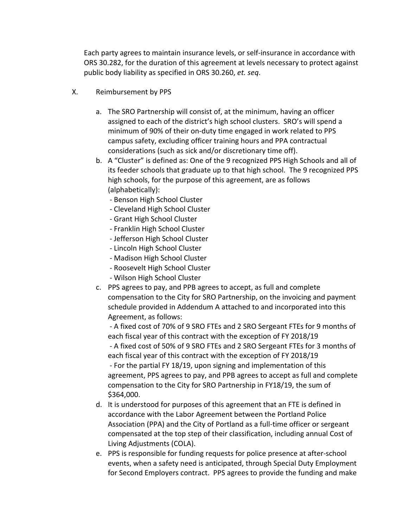Each party agrees to maintain insurance levels, or self‐insurance in accordance with ORS 30.282, for the duration of this agreement at levels necessary to protect against public body liability as specified in ORS 30.260, *et. seq*.

- X. Reimbursement by PPS
	- a. The SRO Partnership will consist of, at the minimum, having an officer assigned to each of the district's high school clusters. SRO's will spend a minimum of 90% of their on‐duty time engaged in work related to PPS campus safety, excluding officer training hours and PPA contractual considerations (such as sick and/or discretionary time off).
	- b. A "Cluster" is defined as: One of the 9 recognized PPS High Schools and all of its feeder schools that graduate up to that high school. The 9 recognized PPS high schools, for the purpose of this agreement, are as follows (alphabetically):
		- ‐ Benson High School Cluster
		- ‐ Cleveland High School Cluster
		- ‐ Grant High School Cluster
		- ‐ Franklin High School Cluster
		- ‐ Jefferson High School Cluster
		- ‐ Lincoln High School Cluster
		- ‐ Madison High School Cluster
		- ‐ Roosevelt High School Cluster
		- ‐ Wilson High School Cluster
	- c. PPS agrees to pay, and PPB agrees to accept, as full and complete compensation to the City for SRO Partnership, on the invoicing and payment schedule provided in Addendum A attached to and incorporated into this Agreement, as follows:

 ‐ A fixed cost of 70% of 9 SRO FTEs and 2 SRO Sergeant FTEs for 9 months of each fiscal year of this contract with the exception of FY 2018/19 ‐ A fixed cost of 50% of 9 SRO FTEs and 2 SRO Sergeant FTEs for 3 months of

each fiscal year of this contract with the exception of FY 2018/19 ‐ For the partial FY 18/19, upon signing and implementation of this agreement, PPS agrees to pay, and PPB agrees to accept as full and complete compensation to the City for SRO Partnership in FY18/19, the sum of \$364,000.

- d. It is understood for purposes of this agreement that an FTE is defined in accordance with the Labor Agreement between the Portland Police Association (PPA) and the City of Portland as a full‐time officer or sergeant compensated at the top step of their classification, including annual Cost of Living Adjustments (COLA).
- e. PPS is responsible for funding requests for police presence at after‐school events, when a safety need is anticipated, through Special Duty Employment for Second Employers contract. PPS agrees to provide the funding and make